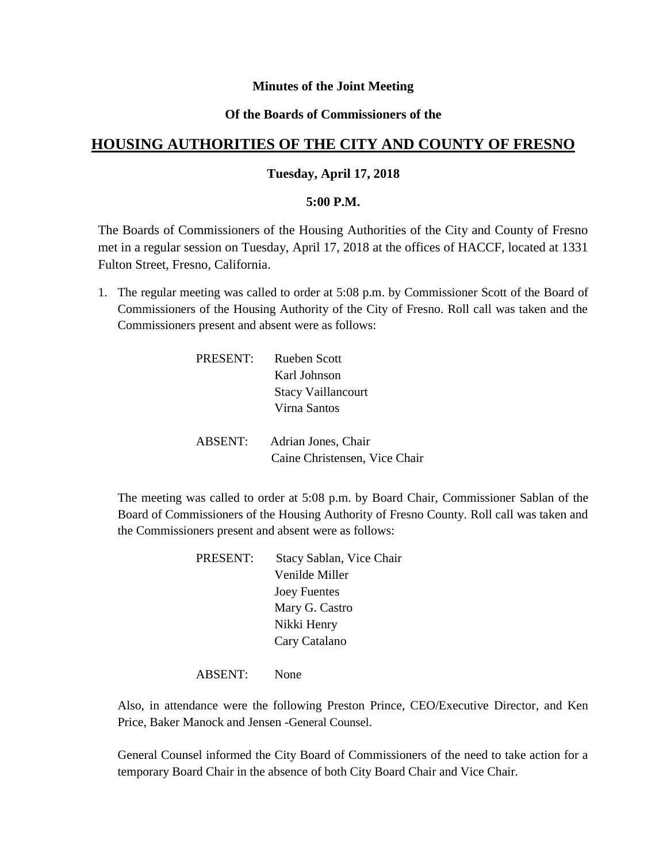## **Minutes of the Joint Meeting**

## **Of the Boards of Commissioners of the**

# **HOUSING AUTHORITIES OF THE CITY AND COUNTY OF FRESNO**

## **Tuesday, April 17, 2018**

#### **5:00 P.M.**

The Boards of Commissioners of the Housing Authorities of the City and County of Fresno met in a regular session on Tuesday, April 17, 2018 at the offices of HACCF, located at 1331 Fulton Street, Fresno, California.

1. The regular meeting was called to order at 5:08 p.m. by Commissioner Scott of the Board of Commissioners of the Housing Authority of the City of Fresno. Roll call was taken and the Commissioners present and absent were as follows:

| PRESENT: | <b>Rueben Scott</b>           |
|----------|-------------------------------|
|          | Karl Johnson                  |
|          | <b>Stacy Vaillancourt</b>     |
|          | Virna Santos                  |
|          |                               |
| ABSENT:  | Adrian Jones, Chair           |
|          | Caine Christensen, Vice Chair |

The meeting was called to order at 5:08 p.m. by Board Chair, Commissioner Sablan of the Board of Commissioners of the Housing Authority of Fresno County. Roll call was taken and the Commissioners present and absent were as follows:

> PRESENT: Stacy Sablan, Vice Chair Venilde Miller Joey Fuentes Mary G. Castro Nikki Henry Cary Catalano

ABSENT: None

Also, in attendance were the following Preston Prince, CEO/Executive Director, and Ken Price, Baker Manock and Jensen -General Counsel.

General Counsel informed the City Board of Commissioners of the need to take action for a temporary Board Chair in the absence of both City Board Chair and Vice Chair.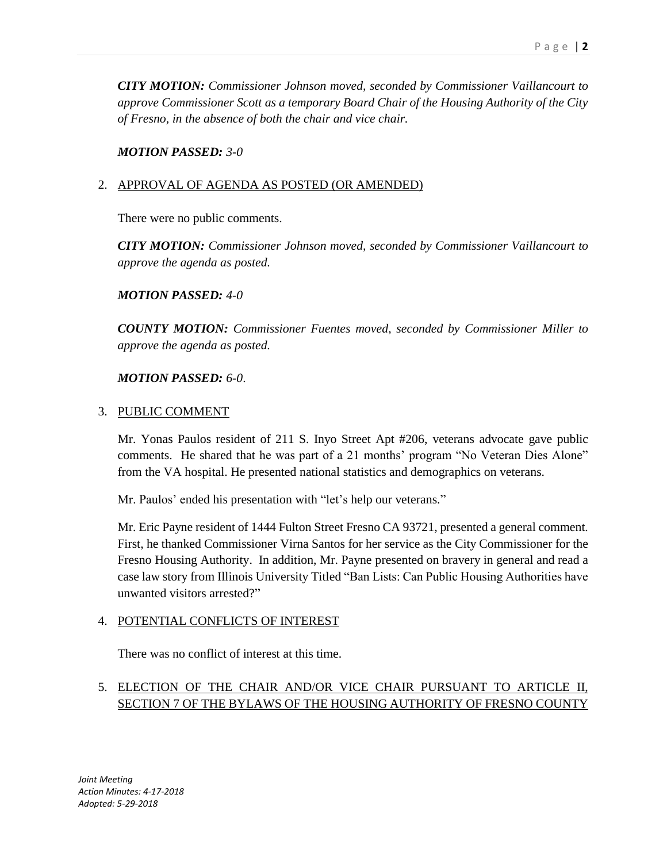*CITY MOTION: Commissioner Johnson moved, seconded by Commissioner Vaillancourt to approve Commissioner Scott as a temporary Board Chair of the Housing Authority of the City of Fresno, in the absence of both the chair and vice chair.*

### *MOTION PASSED: 3-0*

## 2. APPROVAL OF AGENDA AS POSTED (OR AMENDED)

There were no public comments.

*CITY MOTION: Commissioner Johnson moved, seconded by Commissioner Vaillancourt to approve the agenda as posted.*

## *MOTION PASSED: 4-0*

*COUNTY MOTION: Commissioner Fuentes moved, seconded by Commissioner Miller to approve the agenda as posted.*

## *MOTION PASSED: 6-0*.

### 3. PUBLIC COMMENT

Mr. Yonas Paulos resident of 211 S. Inyo Street Apt #206, veterans advocate gave public comments. He shared that he was part of a 21 months' program "No Veteran Dies Alone" from the VA hospital. He presented national statistics and demographics on veterans.

Mr. Paulos' ended his presentation with "let's help our veterans."

Mr. Eric Payne resident of 1444 Fulton Street Fresno CA 93721, presented a general comment. First, he thanked Commissioner Virna Santos for her service as the City Commissioner for the Fresno Housing Authority. In addition, Mr. Payne presented on bravery in general and read a case law story from Illinois University Titled "Ban Lists: Can Public Housing Authorities have unwanted visitors arrested?"

### 4. POTENTIAL CONFLICTS OF INTEREST

There was no conflict of interest at this time.

# 5. ELECTION OF THE CHAIR AND/OR VICE CHAIR PURSUANT TO ARTICLE II, SECTION 7 OF THE BYLAWS OF THE HOUSING AUTHORITY OF FRESNO COUNTY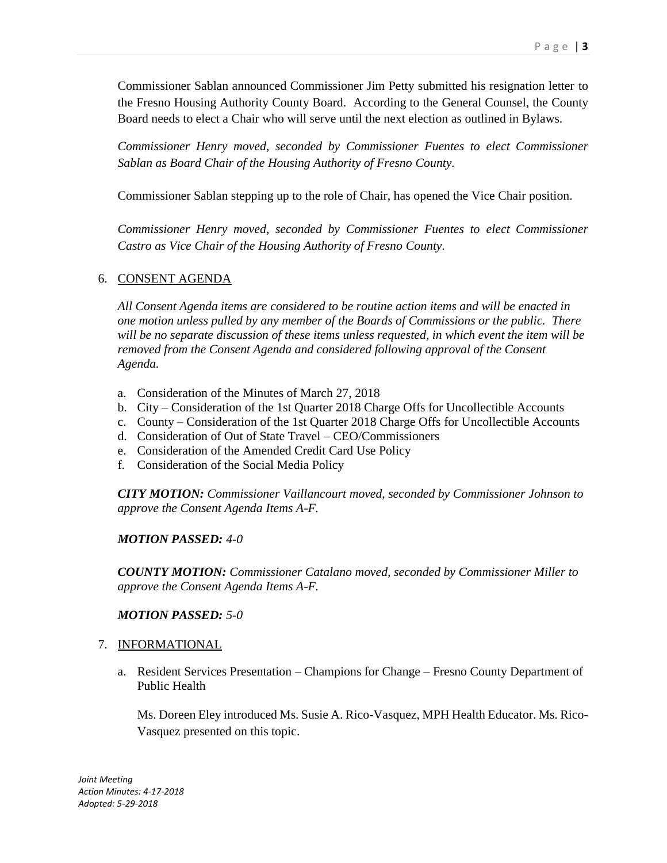Commissioner Sablan announced Commissioner Jim Petty submitted his resignation letter to the Fresno Housing Authority County Board. According to the General Counsel, the County Board needs to elect a Chair who will serve until the next election as outlined in Bylaws.

*Commissioner Henry moved, seconded by Commissioner Fuentes to elect Commissioner Sablan as Board Chair of the Housing Authority of Fresno County.*

Commissioner Sablan stepping up to the role of Chair, has opened the Vice Chair position.

*Commissioner Henry moved, seconded by Commissioner Fuentes to elect Commissioner Castro as Vice Chair of the Housing Authority of Fresno County.*

## 6. CONSENT AGENDA

*All Consent Agenda items are considered to be routine action items and will be enacted in one motion unless pulled by any member of the Boards of Commissions or the public. There will be no separate discussion of these items unless requested, in which event the item will be removed from the Consent Agenda and considered following approval of the Consent Agenda.*

- a. Consideration of the Minutes of March 27, 2018
- b. City Consideration of the 1st Quarter 2018 Charge Offs for Uncollectible Accounts
- c. County Consideration of the 1st Quarter 2018 Charge Offs for Uncollectible Accounts
- d. Consideration of Out of State Travel CEO/Commissioners
- e. Consideration of the Amended Credit Card Use Policy
- f. Consideration of the Social Media Policy

*CITY MOTION: Commissioner Vaillancourt moved, seconded by Commissioner Johnson to approve the Consent Agenda Items A-F.*

### *MOTION PASSED: 4-0*

*COUNTY MOTION: Commissioner Catalano moved, seconded by Commissioner Miller to approve the Consent Agenda Items A-F.*

### *MOTION PASSED: 5-0*

### 7. INFORMATIONAL

a. Resident Services Presentation – Champions for Change – Fresno County Department of Public Health

Ms. Doreen Eley introduced Ms. Susie A. Rico-Vasquez, MPH Health Educator. Ms. Rico-Vasquez presented on this topic.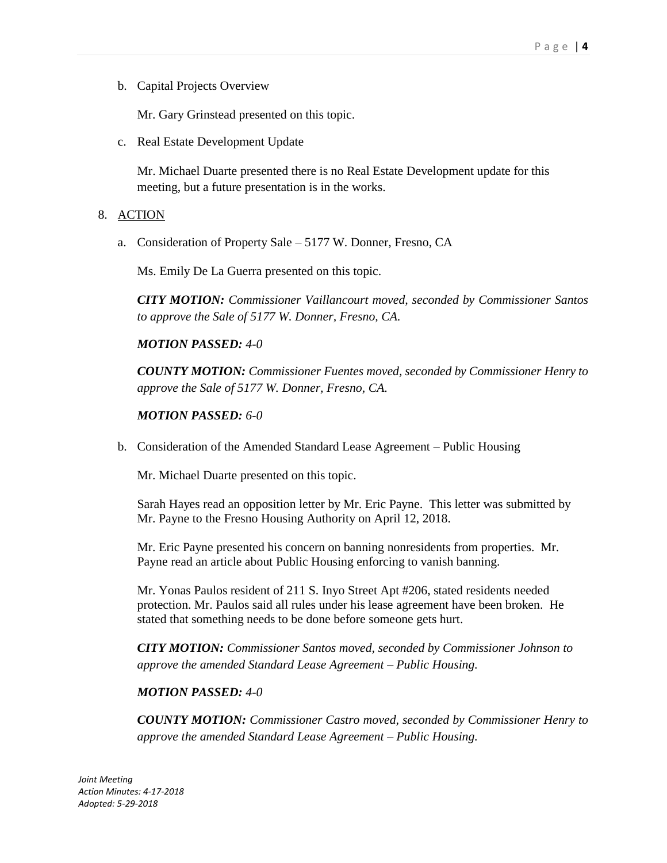b. Capital Projects Overview

Mr. Gary Grinstead presented on this topic.

c. Real Estate Development Update

Mr. Michael Duarte presented there is no Real Estate Development update for this meeting, but a future presentation is in the works.

## 8. ACTION

a. Consideration of Property Sale – 5177 W. Donner, Fresno, CA

Ms. Emily De La Guerra presented on this topic.

*CITY MOTION: Commissioner Vaillancourt moved, seconded by Commissioner Santos to approve the Sale of 5177 W. Donner, Fresno, CA.*

## *MOTION PASSED: 4-0*

*COUNTY MOTION: Commissioner Fuentes moved, seconded by Commissioner Henry to approve the Sale of 5177 W. Donner, Fresno, CA.*

## *MOTION PASSED: 6-0*

b. Consideration of the Amended Standard Lease Agreement – Public Housing

Mr. Michael Duarte presented on this topic.

Sarah Hayes read an opposition letter by Mr. Eric Payne. This letter was submitted by Mr. Payne to the Fresno Housing Authority on April 12, 2018.

Mr. Eric Payne presented his concern on banning nonresidents from properties. Mr. Payne read an article about Public Housing enforcing to vanish banning.

Mr. Yonas Paulos resident of 211 S. Inyo Street Apt #206, stated residents needed protection. Mr. Paulos said all rules under his lease agreement have been broken. He stated that something needs to be done before someone gets hurt.

*CITY MOTION: Commissioner Santos moved, seconded by Commissioner Johnson to approve the amended Standard Lease Agreement – Public Housing.*

### *MOTION PASSED: 4-0*

*COUNTY MOTION: Commissioner Castro moved, seconded by Commissioner Henry to approve the amended Standard Lease Agreement – Public Housing.*

*Joint Meeting Action Minutes: 4-17-2018 Adopted: 5-29-2018*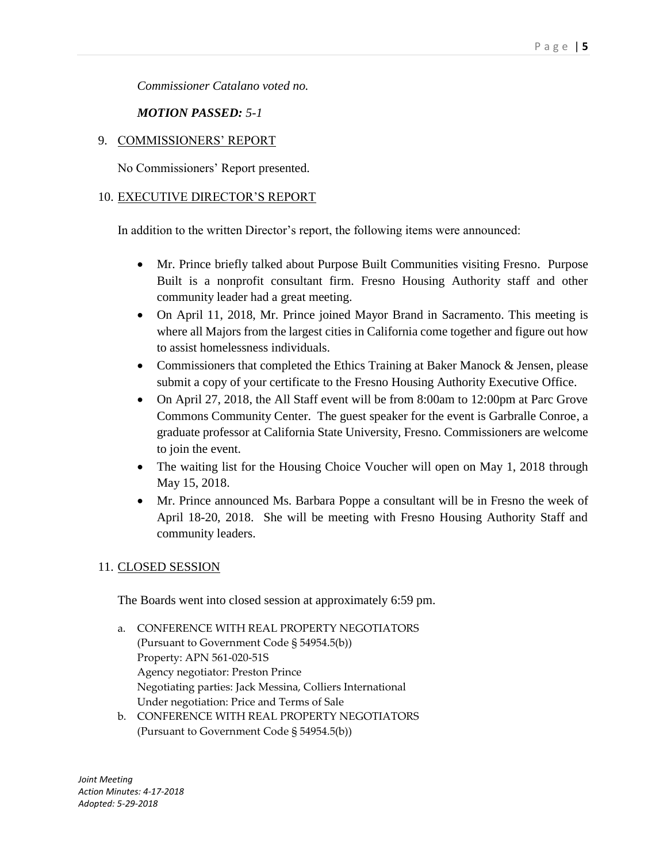*Commissioner Catalano voted no.*

*MOTION PASSED: 5-1*

## 9. COMMISSIONERS' REPORT

No Commissioners' Report presented.

## 10. EXECUTIVE DIRECTOR'S REPORT

In addition to the written Director's report, the following items were announced:

- Mr. Prince briefly talked about Purpose Built Communities visiting Fresno. Purpose Built is a nonprofit consultant firm. Fresno Housing Authority staff and other community leader had a great meeting.
- On April 11, 2018, Mr. Prince joined Mayor Brand in Sacramento. This meeting is where all Majors from the largest cities in California come together and figure out how to assist homelessness individuals.
- Commissioners that completed the Ethics Training at Baker Manock & Jensen, please submit a copy of your certificate to the Fresno Housing Authority Executive Office.
- On April 27, 2018, the All Staff event will be from 8:00am to 12:00pm at Parc Grove Commons Community Center. The guest speaker for the event is Garbralle Conroe, a graduate professor at California State University, Fresno. Commissioners are welcome to join the event.
- The waiting list for the Housing Choice Voucher will open on May 1, 2018 through May 15, 2018.
- Mr. Prince announced Ms. Barbara Poppe a consultant will be in Fresno the week of April 18-20, 2018. She will be meeting with Fresno Housing Authority Staff and community leaders.

# 11. CLOSED SESSION

The Boards went into closed session at approximately 6:59 pm.

- a. CONFERENCE WITH REAL PROPERTY NEGOTIATORS (Pursuant to Government Code § 54954.5(b)) Property: APN 561-020-51S Agency negotiator: Preston Prince Negotiating parties: Jack Messina, Colliers International Under negotiation: Price and Terms of Sale
- b. CONFERENCE WITH REAL PROPERTY NEGOTIATORS (Pursuant to Government Code § 54954.5(b))

*Joint Meeting Action Minutes: 4-17-2018 Adopted: 5-29-2018*